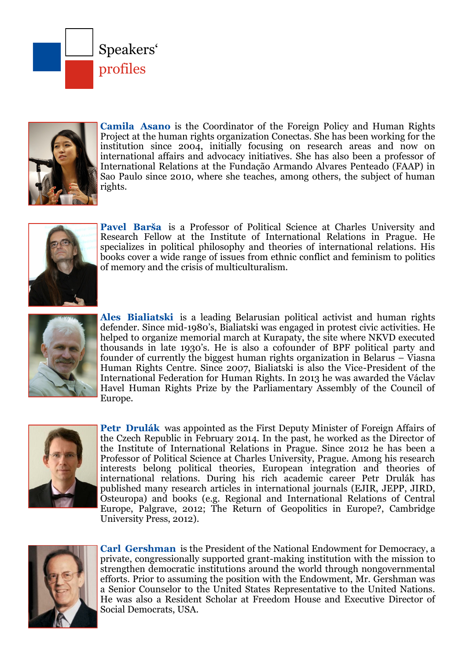



**Camila Asano** is the Coordinator of the Foreign Policy and Human Rights Project at the human rights organization Conectas. She has been working for the institution since 2004, initially focusing on research areas and now on international affairs and advocacy initiatives. She has also been a professor of International Relations at the Fundação Armando Alvares Penteado (FAAP) in Sao Paulo since 2010, where she teaches, among others, the subject of human rights.



**Pavel Barša** is a Professor of Political Science at Charles University and Research Fellow at the Institute of International Relations in Prague. He specializes in political philosophy and theories of international relations. His books cover a wide range of issues from ethnic conflict and feminism to politics of memory and the crisis of multiculturalism.



**Ales Bialiatski** is a leading Belarusian political activist and human rights defender. Since mid-1980's, Bialiatski was engaged in protest civic activities. He helped to organize memorial march at Kurapaty, the site where NKVD executed thousands in late 1930's. He is also a cofounder of BPF political party and founder of currently the biggest human rights organization in Belarus – Viasna Human Rights Centre. Since 2007, Bialiatski is also the Vice-President of the International Federation for Human Rights. In 2013 he was awarded the Václav Havel Human Rights Prize by the Parliamentary Assembly of the Council of Europe.



**Petr Drulák** was appointed as the First Deputy Minister of Foreign Affairs of the Czech Republic in February 2014. In the past, he worked as the Director of the Institute of International Relations in Prague. Since 2012 he has been a Professor of Political Science at Charles University, Prague. Among his research interests belong political theories, European integration and theories of international relations. During his rich academic career Petr Drulák has published many research articles in international journals (EJIR, JEPP, JIRD, Osteuropa) and books (e.g. Regional and International Relations of Central Europe, Palgrave, 2012; The Return of Geopolitics in Europe?, Cambridge University Press, 2012).



**Carl Gershman** is the President of the National Endowment for Democracy, a private, congressionally supported grant-making institution with the mission to strengthen democratic institutions around the world through nongovernmental efforts. Prior to assuming the position with the Endowment, Mr. Gershman was a Senior Counselor to the United States Representative to the United Nations. He was also a Resident Scholar at Freedom House and Executive Director of Social Democrats, USA.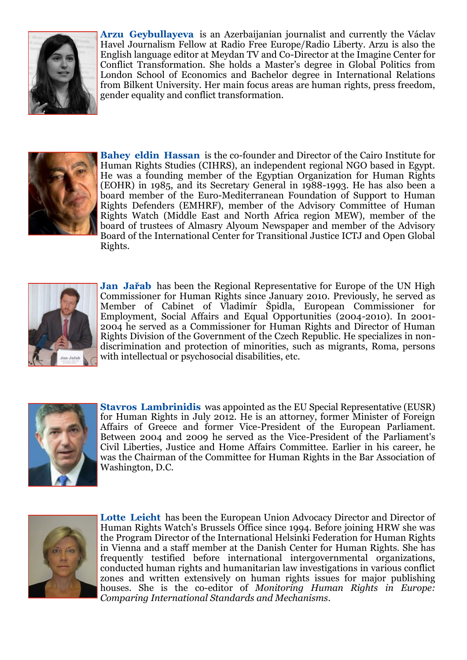

**Arzu Geybullayeva** is an Azerbaijanian journalist and currently the Václav Havel Journalism Fellow at Radio Free Europe/Radio Liberty. Arzu is also the English language editor at Meydan TV and Co-Director at the Imagine Center for Conflict Transformation. She holds a Master's degree in Global Politics from London School of Economics and Bachelor degree in International Relations from Bilkent University. Her main focus areas are human rights, press freedom, gender equality and conflict transformation.



**Bahey eldin Hassan** is the co-founder and Director of the Cairo Institute for Human Rights Studies (CIHRS), an independent regional NGO based in Egypt. He was a founding member of the Egyptian Organization for Human Rights (EOHR) in 1985, and its Secretary General in 1988-1993. He has also been a board member of the Euro-Mediterranean Foundation of Support to Human Rights Defenders (EMHRF), member of the Advisory Committee of Human Rights Watch (Middle East and North Africa region MEW), member of the board of trustees of Almasry Alyoum Newspaper and member of the Advisory Board of the International Center for Transitional Justice ICTJ and Open Global Rights.



**Jan Jařab** has been the Regional Representative for Europe of the UN High Commissioner for Human Rights since January 2010. Previously, he served as Member of Cabinet of Vladimír Špidla, European Commissioner for Employment, Social Affairs and Equal Opportunities (2004-2010). In 2001- 2004 he served as a Commissioner for Human Rights and Director of Human Rights Division of the Government of the Czech Republic. He specializes in nondiscrimination and protection of minorities, such as migrants, Roma, persons with intellectual or psychosocial disabilities, etc.



**Stavros Lambrinidis** was appointed as the EU Special Representative (EUSR) for Human Rights in July 2012. He is an attorney, former Minister of Foreign Affairs of Greece and former Vice-President of the European Parliament. Between 2004 and 2009 he served as the Vice-President of the Parliament's Civil Liberties, Justice and Home Affairs Committee. Earlier in his career, he was the Chairman of the Committee for Human Rights in the Bar Association of Washington, D.C.



**Lotte Leicht** has been the European Union Advocacy Director and Director of Human Rights Watch's Brussels Office since 1994. Before joining HRW she was the Program Director of the International Helsinki Federation for Human Rights in Vienna and a staff member at the Danish Center for Human Rights. She has frequently testified before international intergovernmental organizations, conducted human rights and humanitarian law investigations in various conflict zones and written extensively on human rights issues for major publishing houses. She is the co-editor of *Monitoring Human Rights in Europe: Comparing International Standards and Mechanisms*.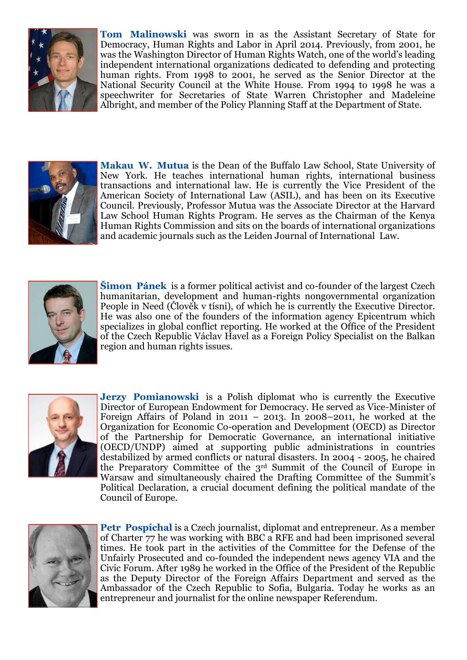

**Tom Malinowski** was sworn in as the Assistant Secretary of State for Democracy, Human Rights and Labor in April 2014. Previously, from 2001, he was the Washington Director of Human Rights Watch, one of the world's leading independent international organizations dedicated to defending and protecting human rights. From 1998 to 2001, he served as the Senior Director at the National Security Council at the White House. From 1994 to 1998 he was a speechwriter for Secretaries of State Warren Christopher and Madeleine Albright, and member of the Policy Planning Staff at the Department of State.



**Makau W. Mutua** is the Dean of the Buffalo Law School, State University of New York. He teaches international human rights, international business transactions and international law. He is currently the Vice President of the American Society of International Law (ASIL), and has been on its Executive Council. Previously, Professor Mutua was the Associate Director at the Harvard Law School Human Rights Program. He serves as the Chairman of the Kenya Human Rights Commission and sits on the boards of international organizations and academic journals such as the Leiden Journal of International Law.



**Šimon Pánek** is a former political activist and co-founder of the largest Czech humanitarian, development and human-rights nongovernmental organization People in Need (Člověk v tísni), of which he is currently the Executive Director. He was also one of the founders of the information agency Epicentrum which specializes in global conflict reporting. He worked at the Office of the President of the Czech Republic Václav Havel as a Foreign Policy Specialist on the Balkan region and human rights issues.



**Jerzy Pomianowski** is a Polish diplomat who is currently the Executive Director of European Endowment for Democracy. He served as Vice-Minister of Foreign Affairs of Poland in 2011 – 2013. In 2008–2011, he worked at the Organization for Economic Co-operation and Development (OECD) as Director of the Partnership for Democratic Governance, an international initiative (OECD/UNDP) aimed at supporting public administrations in countries destabilized by armed conflicts or natural disasters. In 2004 - 2005, he chaired the Preparatory Committee of the 3rd Summit of the Council of Europe in Warsaw and simultaneously chaired the Drafting Committee of the Summit's Political Declaration, a crucial document defining the political mandate of the Council of Europe.



**Petr Pospíchal** is a Czech journalist, diplomat and entrepreneur. As a member of Charter 77 he was working with BBC a RFE and had been imprisoned several times. He took part in the activities of the Committee for the Defense of the Unfairly Prosecuted and co-founded the independent news agency VIA and the Civic Forum. After 1989 he worked in the Office of the President of the Republic as the Deputy Director of the Foreign Affairs Department and served as the Ambassador of the Czech Republic to Sofia, Bulgaria. Today he works as an entrepreneur and journalist for the online newspaper Referendum.